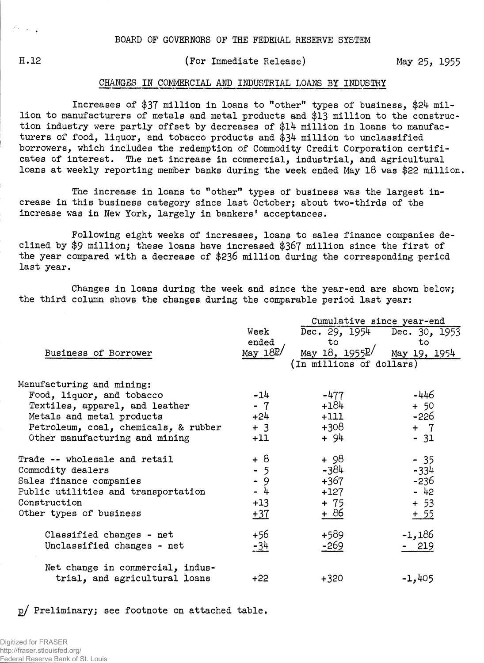$\mathcal{O}(\lambda)$  ,  $\mathcal{O}(\lambda)$ 

## H.12 (For Immediate Release) May 25, 1955

## CHANGES IN COMMERCIAL AMD INDUSTRIAL LOANS BY INDUSTRY

Increases of \$37 million in loans to "other" types of business, \$24 million to manufacturers of metals and metal products and \$13 million to the construction industry were partly offset by decreases of \$14 million in loans to manufacturers of food, liquor, and tobacco products and \$34 million to unclassified borrowers, which includes the redemption of Commodity Credit Corporation certificates of interest. The net increase in commercial, industrial, and agricultural loans at weekly reporting member banks during the week ended May 18 was \$22 million.

The increase in loans to "other" types of business was the largest increase in this business category since last October; about two-thirds of the increase was in New York, largely in bankers' acceptances.

Following eight weeks of increases, loans to sales finance companies declined by \$9 million; these loans have increased \$367 million since the first of the year compared with a decrease of \$236 million during the corresponding period last year.

Changes in loans during the week and since the year-end are shown below; the third column shows the changes during the comparable period last year:

|                                      |                 | Cumulative since year-end          |              |  |  |  |  |  |
|--------------------------------------|-----------------|------------------------------------|--------------|--|--|--|--|--|
|                                      | Week            | Dec. 29, 1954 Dec. 30, 1953        |              |  |  |  |  |  |
|                                      | ended           | to                                 | to           |  |  |  |  |  |
| Business of Borrower                 | May $18P/$      | <u>May 18, 1955<math>P</math>/</u> | May 19, 1954 |  |  |  |  |  |
|                                      |                 | (In millions of dollars)           |              |  |  |  |  |  |
| Manufacturing and mining:            |                 |                                    |              |  |  |  |  |  |
| Food, liquor, and tobacco            | $-14$           | $-477$                             | $-446$       |  |  |  |  |  |
| Textiles, apparel, and leather       | $-7$            | $+184$                             | $+ 50$       |  |  |  |  |  |
| Metals and metal products            | $+24$           | $+111$                             | -226         |  |  |  |  |  |
| Petroleum, coal, chemicals, & rubber | $+3$            | +308                               | $+ 7$        |  |  |  |  |  |
| Other manufacturing and mining       | $+11$           | + 94                               | $-31$        |  |  |  |  |  |
| Trade -- wholesale and retail        | $+8$            | + 98                               | $-35$        |  |  |  |  |  |
| Commodity dealers                    | $\frac{1}{2}$ 5 | -384                               | $-334$       |  |  |  |  |  |
| Sales finance companies              |                 | +367                               | $-236$       |  |  |  |  |  |
| Public utilities and transportation  | $-4$            | +127                               | $-42$        |  |  |  |  |  |
| Construction                         | $+13$           | + 75                               | $+ 53$       |  |  |  |  |  |
| Other types of business              | $+37$           | + 86                               | $+ 55$       |  |  |  |  |  |
| Classified changes - net             | +56             | +589                               | $-1,186$     |  |  |  |  |  |
| Unclassified changes - net           | -34             | -269                               | $-219$       |  |  |  |  |  |
| Net change in commercial, indus-     |                 |                                    |              |  |  |  |  |  |
| trial, and agricultural loans        | $+22$           | $+320$                             | $-1,405$     |  |  |  |  |  |

p/ Preliminary; see footnote on attached table.